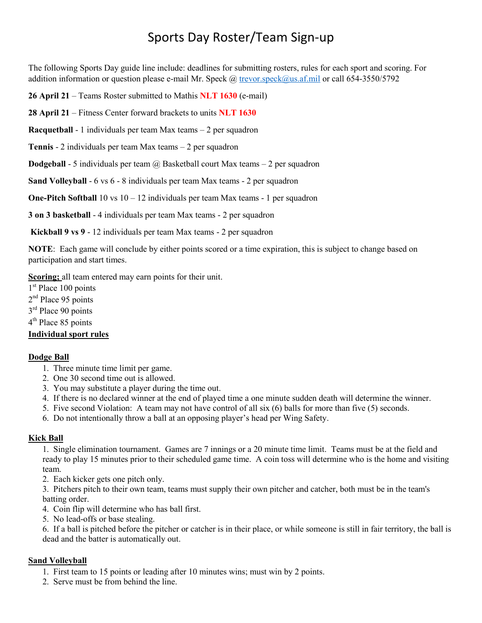The following Sports Day guide line include: deadlines for submitting rosters, rules for each sport and scoring. For addition information or question please e-mail Mr. Speck @ [trevor.speck@us.af.mil](mailto:trevor.speck@us.af.mil) or call 654-3550/5792

**26 April 21** – Teams Roster submitted to Mathis **NLT 1630** (e-mail)

**28 April 21** – Fitness Center forward brackets to units **NLT 1630**

**Racquetball** - 1 individuals per team Max teams – 2 per squadron

**Tennis** - 2 individuals per team Max teams – 2 per squadron

**Dodgeball** - 5 individuals per team @ Basketball court Max teams – 2 per squadron

**Sand Volleyball** - 6 vs 6 - 8 individuals per team Max teams - 2 per squadron

**One-Pitch Softball** 10 vs 10 – 12 individuals per team Max teams - 1 per squadron

**3 on 3 basketball** - 4 individuals per team Max teams - 2 per squadron

**Kickball 9 vs 9** - 12 individuals per team Max teams - 2 per squadron

**NOTE**: Each game will conclude by either points scored or a time expiration, this is subject to change based on participation and start times.

**Scoring;** all team entered may earn points for their unit.

1<sup>st</sup> Place 100 points

2<sup>nd</sup> Place 95 points

3<sup>rd</sup> Place 90 points

4<sup>th</sup> Place 85 points

#### **Individual sport rules**

#### **Dodge Ball**

- 1. Three minute time limit per game.
- 2. One 30 second time out is allowed.
- 3. You may substitute a player during the time out.
- 4. If there is no declared winner at the end of played time a one minute sudden death will determine the winner.
- 5. Five second Violation: A team may not have control of all six (6) balls for more than five (5) seconds.
- 6. Do not intentionally throw a ball at an opposing player's head per Wing Safety.

#### **Kick Ball**

1. Single elimination tournament. Games are 7 innings or a 20 minute time limit. Teams must be at the field and ready to play 15 minutes prior to their scheduled game time. A coin toss will determine who is the home and visiting team.

2. Each kicker gets one pitch only.

3. Pitchers pitch to their own team, teams must supply their own pitcher and catcher, both must be in the team's batting order.

- 4. Coin flip will determine who has ball first.
- 5. No lead-offs or base stealing.

6. If a ball is pitched before the pitcher or catcher is in their place, or while someone is still in fair territory, the ball is dead and the batter is automatically out.

#### **Sand Volleyball**

- 1. First team to 15 points or leading after 10 minutes wins; must win by 2 points.
- 2. Serve must be from behind the line.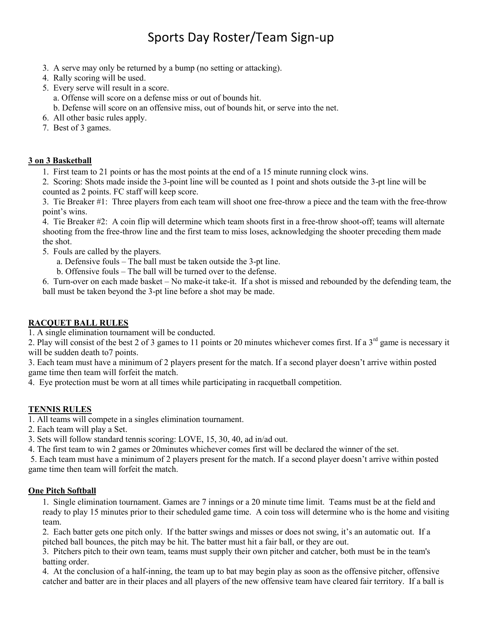- 3. A serve may only be returned by a bump (no setting or attacking).
- 4. Rally scoring will be used.
- 5. Every serve will result in a score. a. Offense will score on a defense miss or out of bounds hit. b. Defense will score on an offensive miss, out of bounds hit, or serve into the net.
- 6. All other basic rules apply.
- 7. Best of 3 games.

#### **3 on 3 Basketball**

1. First team to 21 points or has the most points at the end of a 15 minute running clock wins.

2. Scoring: Shots made inside the 3-point line will be counted as 1 point and shots outside the 3-pt line will be counted as 2 points. FC staff will keep score.

3. Tie Breaker #1: Three players from each team will shoot one free-throw a piece and the team with the free-throw point's wins.

4. Tie Breaker #2: A coin flip will determine which team shoots first in a free-throw shoot-off; teams will alternate shooting from the free-throw line and the first team to miss loses, acknowledging the shooter preceding them made the shot.

- 5. Fouls are called by the players.
	- a. Defensive fouls The ball must be taken outside the 3-pt line.
	- b. Offensive fouls The ball will be turned over to the defense.

6. Turn-over on each made basket – No make-it take-it. If a shot is missed and rebounded by the defending team, the ball must be taken beyond the 3-pt line before a shot may be made.

### **RACQUET BALL RULES**

1. A single elimination tournament will be conducted.

2. Play will consist of the best 2 of 3 games to 11 points or 20 minutes whichever comes first. If a  $3<sup>rd</sup>$  game is necessary it will be sudden death to 7 points.

3. Each team must have a minimum of 2 players present for the match. If a second player doesn't arrive within posted game time then team will forfeit the match.

4. Eye protection must be worn at all times while participating in racquetball competition.

### **TENNIS RULES**

1. All teams will compete in a singles elimination tournament.

- 2. Each team will play a Set.
- 3. Sets will follow standard tennis scoring: LOVE, 15, 30, 40, ad in/ad out.
- 4. The first team to win 2 games or 20minutes whichever comes first will be declared the winner of the set.

5. Each team must have a minimum of 2 players present for the match. If a second player doesn't arrive within posted game time then team will forfeit the match.

#### **One Pitch Softball**

1. Single elimination tournament. Games are 7 innings or a 20 minute time limit. Teams must be at the field and ready to play 15 minutes prior to their scheduled game time. A coin toss will determine who is the home and visiting team.

2. Each batter gets one pitch only. If the batter swings and misses or does not swing, it's an automatic out. If a pitched ball bounces, the pitch may be hit. The batter must hit a fair ball, or they are out.

3. Pitchers pitch to their own team, teams must supply their own pitcher and catcher, both must be in the team's batting order.

4. At the conclusion of a half-inning, the team up to bat may begin play as soon as the offensive pitcher, offensive catcher and batter are in their places and all players of the new offensive team have cleared fair territory. If a ball is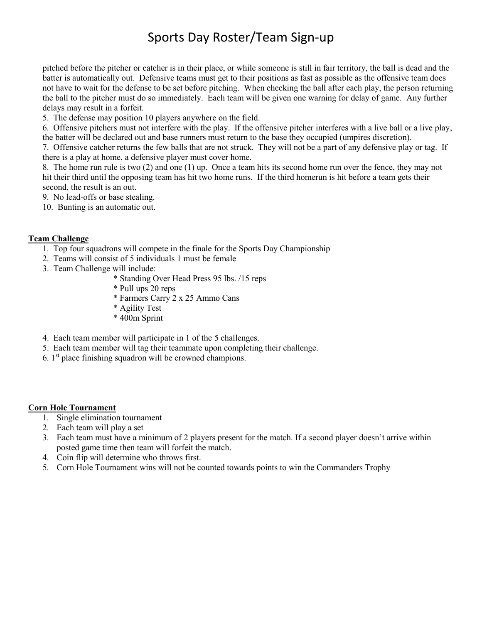pitched before the pitcher or catcher is in their place, or while someone is still in fair territory, the ball is dead and the batter is automatically out. Defensive teams must get to their positions as fast as possible as the offensive team does not have to wait for the defense to be set before pitching. When checking the ball after each play, the person returning the ball to the pitcher must do so immediately. Each team will be given one warning for delay of game. Any further delays may result in a forfeit.

5. The defense may position 10 players anywhere on the field.

6. Offensive pitchers must not interfere with the play. If the offensive pitcher interferes with a live ball or a live play, the batter will be declared out and base runners must return to the base they occupied (umpires discretion).

7. Offensive catcher returns the few balls that are not struck. They will not be a part of any defensive play or tag. If there is a play at home, a defensive player must cover home.

8. The home run rule is two (2) and one (1) up. Once a team hits its second home run over the fence, they may not hit their third until the opposing team has hit two home runs. If the third homerun is hit before a team gets their second, the result is an out.

9. No lead-offs or base stealing.

10. Bunting is an automatic out.

#### **Team Challenge**

- 1. Top four squadrons will compete in the finale for the Sports Day Championship
- 2. Teams will consist of 5 individuals 1 must be female
- 3. Team Challenge will include:
	- \* Standing Over Head Press 95 lbs. /15 reps
	- \* Pull ups 20 reps
	- \* Farmers Carry 2 x 25 Ammo Cans
	- \* Agility Test
	- \* 400m Sprint
- 4. Each team member will participate in 1 of the 5 challenges.
- 5. Each team member will tag their teammate upon completing their challenge.
- 6.  $1<sup>st</sup>$  place finishing squadron will be crowned champions.

#### **Corn Hole Tournament**

- 1. Single elimination tournament
- 2. Each team will play a set
- 3. Each team must have a minimum of 2 players present for the match. If a second player doesn't arrive within posted game time then team will forfeit the match.
- 4. Coin flip will determine who throws first.
- 5. Corn Hole Tournament wins will not be counted towards points to win the Commanders Trophy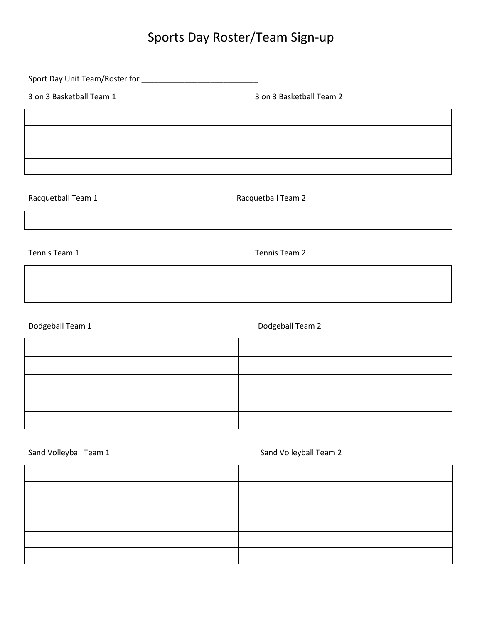Sport Day Unit Team/Roster for \_\_\_\_\_\_\_\_\_\_\_\_\_\_\_\_\_\_\_\_\_\_\_\_\_\_\_

3 on 3 Basketball Team 1 3 on 3 Basketball Team 2

| Racquetball Team 1 | Racquetball Team 2 |
|--------------------|--------------------|
|                    |                    |

Tennis Team 1 Tennis Team 2

| and the contract of the contract of the contract of the contract of the contract of the contract of the contract of |  |
|---------------------------------------------------------------------------------------------------------------------|--|
|                                                                                                                     |  |
|                                                                                                                     |  |
|                                                                                                                     |  |

Dodgeball Team 1 and 1 and 2 Dodgeball Team 2

Sand Volleyball Team 1 Sand Volleyball Team 2